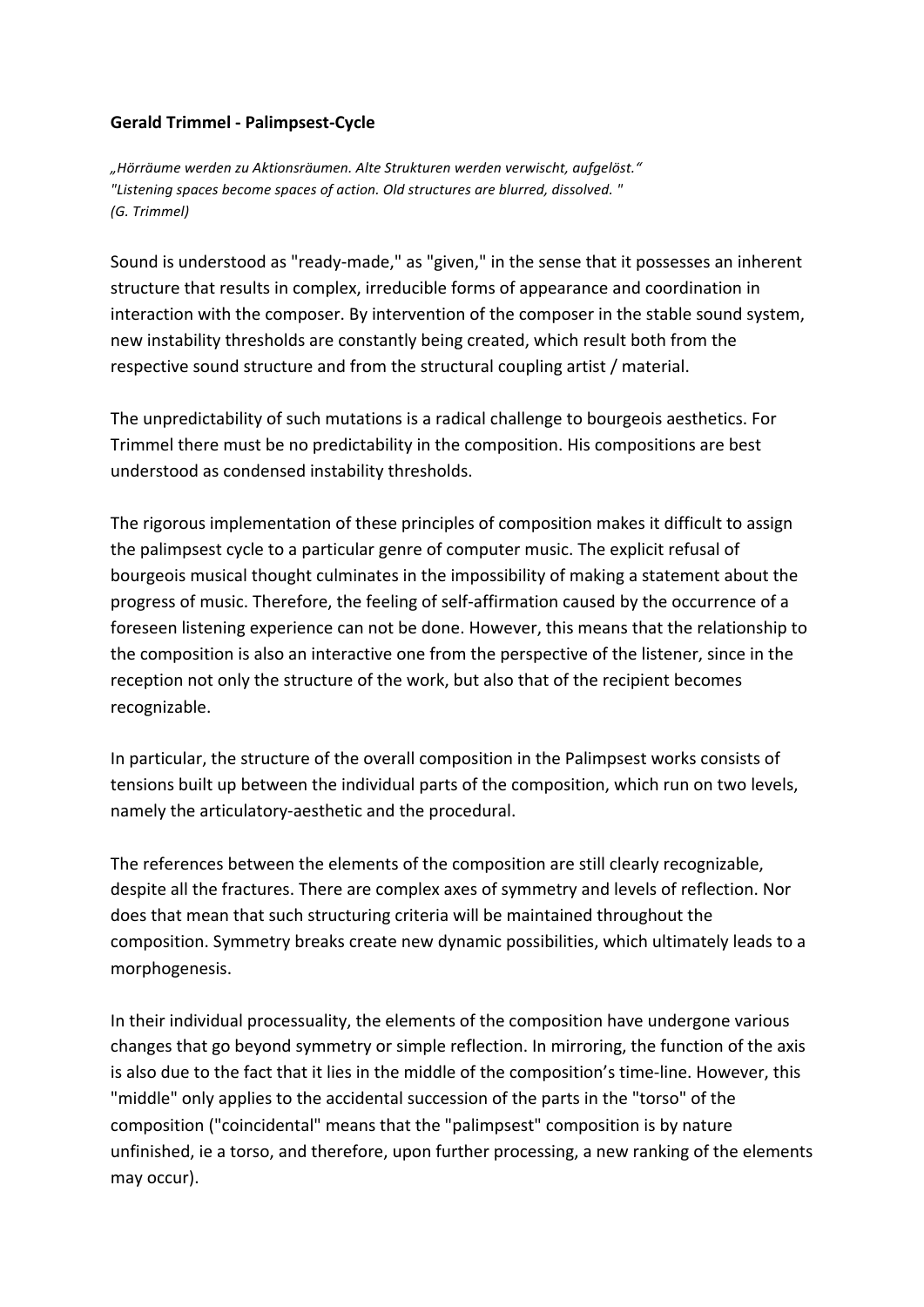## **Gerald Trimmel - Palimpsest-Cycle**

*"Hörräume werden zu Aktionsräumen. Alte Strukturen werden verwischt, aufgelöst." "Listening spaces become spaces of action. Old structures are blurred, dissolved. " (G. Trimmel)*

Sound is understood as "ready-made," as "given," in the sense that it possesses an inherent structure that results in complex, irreducible forms of appearance and coordination in interaction with the composer. By intervention of the composer in the stable sound system, new instability thresholds are constantly being created, which result both from the respective sound structure and from the structural coupling artist / material.

The unpredictability of such mutations is a radical challenge to bourgeois aesthetics. For Trimmel there must be no predictability in the composition. His compositions are best understood as condensed instability thresholds.

The rigorous implementation of these principles of composition makes it difficult to assign the palimpsest cycle to a particular genre of computer music. The explicit refusal of bourgeois musical thought culminates in the impossibility of making a statement about the progress of music. Therefore, the feeling of self-affirmation caused by the occurrence of a foreseen listening experience can not be done. However, this means that the relationship to the composition is also an interactive one from the perspective of the listener, since in the reception not only the structure of the work, but also that of the recipient becomes recognizable.

In particular, the structure of the overall composition in the Palimpsest works consists of tensions built up between the individual parts of the composition, which run on two levels, namely the articulatory-aesthetic and the procedural.

The references between the elements of the composition are still clearly recognizable, despite all the fractures. There are complex axes of symmetry and levels of reflection. Nor does that mean that such structuring criteria will be maintained throughout the composition. Symmetry breaks create new dynamic possibilities, which ultimately leads to a morphogenesis.

In their individual processuality, the elements of the composition have undergone various changes that go beyond symmetry or simple reflection. In mirroring, the function of the axis is also due to the fact that it lies in the middle of the composition's time-line. However, this "middle" only applies to the accidental succession of the parts in the "torso" of the composition ("coincidental" means that the "palimpsest" composition is by nature unfinished, ie a torso, and therefore, upon further processing, a new ranking of the elements may occur).